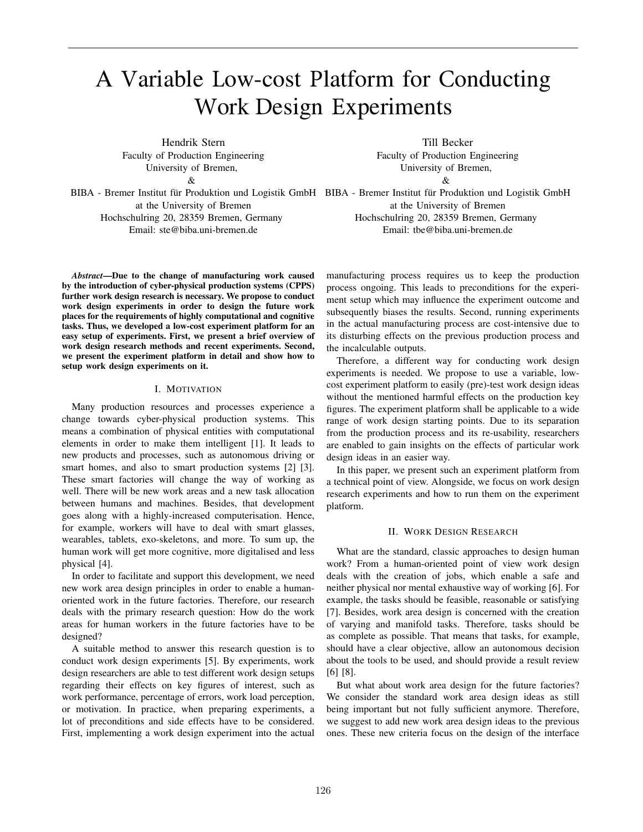# A Variable Low-cost Platform for Conducting Work Design Experiments

Hendrik Stern Faculty of Production Engineering University of Bremen,

 $\mathcal{R}_{\mathcal{L}}$ 

BIBA - Bremer Institut für Produktion und Logistik GmbH EIBA - Bremer Institut für Produktion und Logistik GmbH at the University of Bremen Hochschulring 20, 28359 Bremen, Germany Email: ste@biba.uni-bremen.de

Till Becker Faculty of Production Engineering University of Bremen, &

at the University of Bremen Hochschulring 20, 28359 Bremen, Germany Email: tbe@biba.uni-bremen.de

*Abstract*—Due to the change of manufacturing work caused by the introduction of cyber-physical production systems (CPPS) further work design research is necessary. We propose to conduct work design experiments in order to design the future work places for the requirements of highly computational and cognitive tasks. Thus, we developed a low-cost experiment platform for an easy setup of experiments. First, we present a brief overview of work design research methods and recent experiments. Second, we present the experiment platform in detail and show how to setup work design experiments on it.

# I. MOTIVATION

Many production resources and processes experience a change towards cyber-physical production systems. This means a combination of physical entities with computational elements in order to make them intelligent [1]. It leads to new products and processes, such as autonomous driving or smart homes, and also to smart production systems [2] [3]. These smart factories will change the way of working as well. There will be new work areas and a new task allocation between humans and machines. Besides, that development goes along with a highly-increased computerisation. Hence, for example, workers will have to deal with smart glasses, wearables, tablets, exo-skeletons, and more. To sum up, the human work will get more cognitive, more digitalised and less physical [4].

In order to facilitate and support this development, we need new work area design principles in order to enable a humanoriented work in the future factories. Therefore, our research deals with the primary research question: How do the work areas for human workers in the future factories have to be designed?

A suitable method to answer this research question is to conduct work design experiments [5]. By experiments, work design researchers are able to test different work design setups regarding their effects on key figures of interest, such as work performance, percentage of errors, work load perception, or motivation. In practice, when preparing experiments, a lot of preconditions and side effects have to be considered. First, implementing a work design experiment into the actual

manufacturing process requires us to keep the production process ongoing. This leads to preconditions for the experiment setup which may influence the experiment outcome and subsequently biases the results. Second, running experiments in the actual manufacturing process are cost-intensive due to its disturbing effects on the previous production process and the incalculable outputs.

Therefore, a different way for conducting work design experiments is needed. We propose to use a variable, lowcost experiment platform to easily (pre)-test work design ideas without the mentioned harmful effects on the production key figures. The experiment platform shall be applicable to a wide range of work design starting points. Due to its separation from the production process and its re-usability, researchers are enabled to gain insights on the effects of particular work design ideas in an easier way.

In this paper, we present such an experiment platform from a technical point of view. Alongside, we focus on work design research experiments and how to run them on the experiment platform.

# II. WORK DESIGN RESEARCH

What are the standard, classic approaches to design human work? From a human-oriented point of view work design deals with the creation of jobs, which enable a safe and neither physical nor mental exhaustive way of working [6]. For example, the tasks should be feasible, reasonable or satisfying [7]. Besides, work area design is concerned with the creation of varying and manifold tasks. Therefore, tasks should be as complete as possible. That means that tasks, for example, should have a clear objective, allow an autonomous decision about the tools to be used, and should provide a result review [6] [8].

But what about work area design for the future factories? We consider the standard work area design ideas as still being important but not fully sufficient anymore. Therefore, we suggest to add new work area design ideas to the previous ones. These new criteria focus on the design of the interface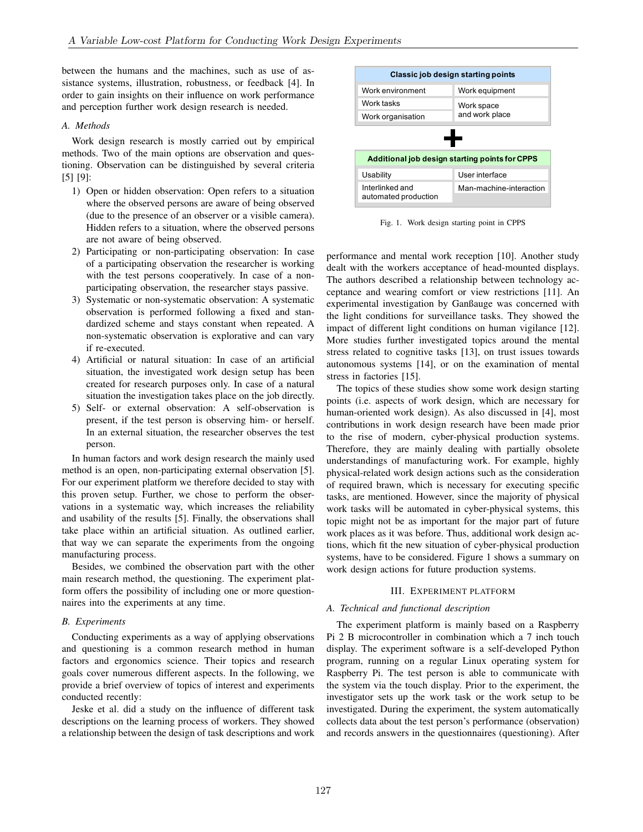between the humans and the machines, such as use of assistance systems, illustration, robustness, or feedback [4]. In order to gain insights on their influence on work performance and perception further work design research is needed.

## *A. Methods*

Work design research is mostly carried out by empirical methods. Two of the main options are observation and questioning. Observation can be distinguished by several criteria [5] [9]:

- 1) Open or hidden observation: Open refers to a situation where the observed persons are aware of being observed (due to the presence of an observer or a visible camera). Hidden refers to a situation, where the observed persons are not aware of being observed.
- 2) Participating or non-participating observation: In case of a participating observation the researcher is working with the test persons cooperatively. In case of a nonparticipating observation, the researcher stays passive.
- 3) Systematic or non-systematic observation: A systematic observation is performed following a fixed and standardized scheme and stays constant when repeated. A non-systematic observation is explorative and can vary if re-executed.
- 4) Artificial or natural situation: In case of an artificial situation, the investigated work design setup has been created for research purposes only. In case of a natural situation the investigation takes place on the job directly.
- 5) Self- or external observation: A self-observation is present, if the test person is observing him- or herself. In an external situation, the researcher observes the test person.

In human factors and work design research the mainly used method is an open, non-participating external observation [5]. For our experiment platform we therefore decided to stay with this proven setup. Further, we chose to perform the observations in a systematic way, which increases the reliability and usability of the results [5]. Finally, the observations shall take place within an artificial situation. As outlined earlier, that way we can separate the experiments from the ongoing manufacturing process.

Besides, we combined the observation part with the other main research method, the questioning. The experiment platform offers the possibility of including one or more questionnaires into the experiments at any time.

## *B. Experiments*

Conducting experiments as a way of applying observations and questioning is a common research method in human factors and ergonomics science. Their topics and research goals cover numerous different aspects. In the following, we provide a brief overview of topics of interest and experiments conducted recently:

Jeske et al. did a study on the influence of different task descriptions on the learning process of workers. They showed a relationship between the design of task descriptions and work



Fig. 1. Work design starting point in CPPS

performance and mental work reception [10]. Another study dealt with the workers acceptance of head-mounted displays. The authors described a relationship between technology acceptance and wearing comfort or view restrictions [11]. An experimental investigation by Ganßauge was concerned with the light conditions for surveillance tasks. They showed the impact of different light conditions on human vigilance [12]. More studies further investigated topics around the mental stress related to cognitive tasks [13], on trust issues towards autonomous systems [14], or on the examination of mental stress in factories [15].

The topics of these studies show some work design starting points (i.e. aspects of work design, which are necessary for human-oriented work design). As also discussed in [4], most contributions in work design research have been made prior to the rise of modern, cyber-physical production systems. Therefore, they are mainly dealing with partially obsolete understandings of manufacturing work. For example, highly physical-related work design actions such as the consideration of required brawn, which is necessary for executing specific tasks, are mentioned. However, since the majority of physical work tasks will be automated in cyber-physical systems, this topic might not be as important for the major part of future work places as it was before. Thus, additional work design actions, which fit the new situation of cyber-physical production systems, have to be considered. Figure 1 shows a summary on work design actions for future production systems.

# III. EXPERIMENT PLATFORM

# *A. Technical and functional description*

The experiment platform is mainly based on a Raspberry Pi 2 B microcontroller in combination which a 7 inch touch display. The experiment software is a self-developed Python program, running on a regular Linux operating system for Raspberry Pi. The test person is able to communicate with the system via the touch display. Prior to the experiment, the investigator sets up the work task or the work setup to be investigated. During the experiment, the system automatically collects data about the test person's performance (observation) and records answers in the questionnaires (questioning). After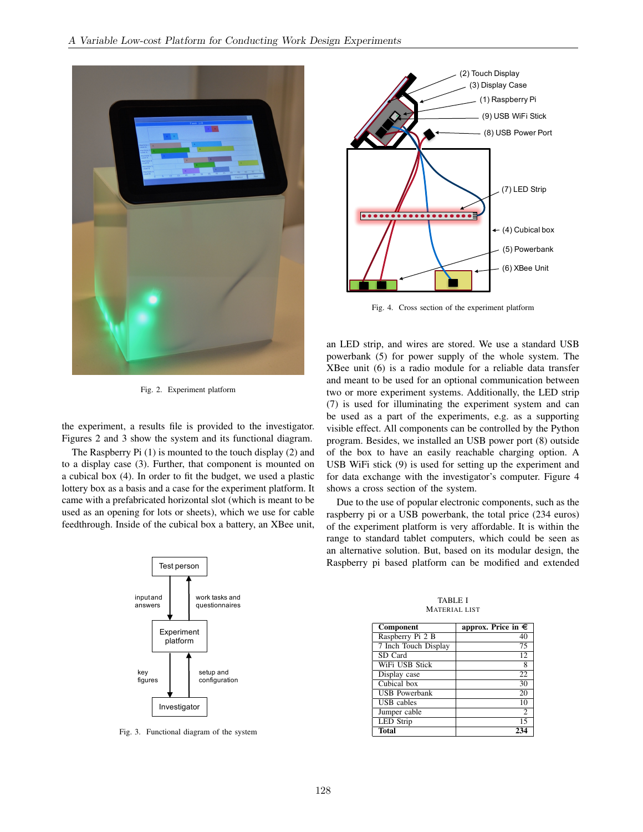

Fig. 2. Experiment platform

the experiment, a results file is provided to the investigator. Figures 2 and 3 show the system and its functional diagram.

The Raspberry Pi (1) is mounted to the touch display (2) and to a display case (3). Further, that component is mounted on a cubical box (4). In order to fit the budget, we used a plastic lottery box as a basis and a case for the experiment platform. It came with a prefabricated horizontal slot (which is meant to be used as an opening for lots or sheets), which we use for cable feedthrough. Inside of the cubical box a battery, an XBee unit,



Fig. 3. Functional diagram of the system



Fig. 4. Cross section of the experiment platform

an LED strip, and wires are stored. We use a standard USB powerbank (5) for power supply of the whole system. The XBee unit (6) is a radio module for a reliable data transfer and meant to be used for an optional communication between two or more experiment systems. Additionally, the LED strip (7) is used for illuminating the experiment system and can be used as a part of the experiments, e.g. as a supporting visible effect. All components can be controlled by the Python program. Besides, we installed an USB power port (8) outside of the box to have an easily reachable charging option. A USB WiFi stick (9) is used for setting up the experiment and for data exchange with the investigator's computer. Figure 4 shows a cross section of the system.

Due to the use of popular electronic components, such as the raspberry pi or a USB powerbank, the total price (234 euros) of the experiment platform is very affordable. It is within the range to standard tablet computers, which could be seen as an alternative solution. But, based on its modular design, the Raspberry pi based platform can be modified and extended

Component approx. Price in  $\epsilon$ Raspberry Pi 2 B 40<br>
7 Inch Touch Display 75 7 Inch Touch Display 75<br>SD Card 12 SD Card WiFi USB Stick 8<br>Display case 22 Display case 22<br>Cubical box 30 Cubical box 30<br>
USB Powerbank 20 USB Powerbank 20<br>
USB cables 10 USB cables Jumper cable 2<br>LED Strip 15 LED Strip Total 234

TABLE I MATERIAL LIST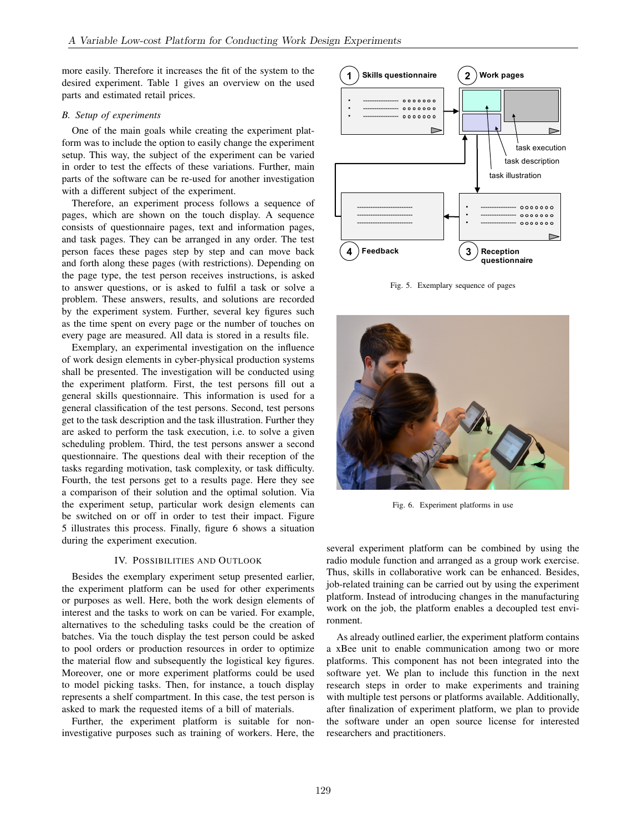more easily. Therefore it increases the fit of the system to the desired experiment. Table 1 gives an overview on the used parts and estimated retail prices.

#### *B. Setup of experiments*

One of the main goals while creating the experiment platform was to include the option to easily change the experiment setup. This way, the subject of the experiment can be varied in order to test the effects of these variations. Further, main parts of the software can be re-used for another investigation with a different subject of the experiment.

Therefore, an experiment process follows a sequence of pages, which are shown on the touch display. A sequence consists of questionnaire pages, text and information pages, and task pages. They can be arranged in any order. The test person faces these pages step by step and can move back and forth along these pages (with restrictions). Depending on the page type, the test person receives instructions, is asked to answer questions, or is asked to fulfil a task or solve a problem. These answers, results, and solutions are recorded by the experiment system. Further, several key figures such as the time spent on every page or the number of touches on every page are measured. All data is stored in a results file.

Exemplary, an experimental investigation on the influence of work design elements in cyber-physical production systems shall be presented. The investigation will be conducted using the experiment platform. First, the test persons fill out a general skills questionnaire. This information is used for a general classification of the test persons. Second, test persons get to the task description and the task illustration. Further they are asked to perform the task execution, i.e. to solve a given scheduling problem. Third, the test persons answer a second questionnaire. The questions deal with their reception of the tasks regarding motivation, task complexity, or task difficulty. Fourth, the test persons get to a results page. Here they see a comparison of their solution and the optimal solution. Via the experiment setup, particular work design elements can be switched on or off in order to test their impact. Figure 5 illustrates this process. Finally, figure 6 shows a situation during the experiment execution.

## IV. POSSIBILITIES AND OUTLOOK

Besides the exemplary experiment setup presented earlier, the experiment platform can be used for other experiments or purposes as well. Here, both the work design elements of interest and the tasks to work on can be varied. For example, alternatives to the scheduling tasks could be the creation of batches. Via the touch display the test person could be asked to pool orders or production resources in order to optimize the material flow and subsequently the logistical key figures. Moreover, one or more experiment platforms could be used to model picking tasks. Then, for instance, a touch display represents a shelf compartment. In this case, the test person is asked to mark the requested items of a bill of materials.

Further, the experiment platform is suitable for noninvestigative purposes such as training of workers. Here, the



Fig. 5. Exemplary sequence of pages



Fig. 6. Experiment platforms in use

several experiment platform can be combined by using the radio module function and arranged as a group work exercise. Thus, skills in collaborative work can be enhanced. Besides, job-related training can be carried out by using the experiment platform. Instead of introducing changes in the manufacturing work on the job, the platform enables a decoupled test environment.

As already outlined earlier, the experiment platform contains a xBee unit to enable communication among two or more platforms. This component has not been integrated into the software yet. We plan to include this function in the next research steps in order to make experiments and training with multiple test persons or platforms available. Additionally, after finalization of experiment platform, we plan to provide the software under an open source license for interested researchers and practitioners.